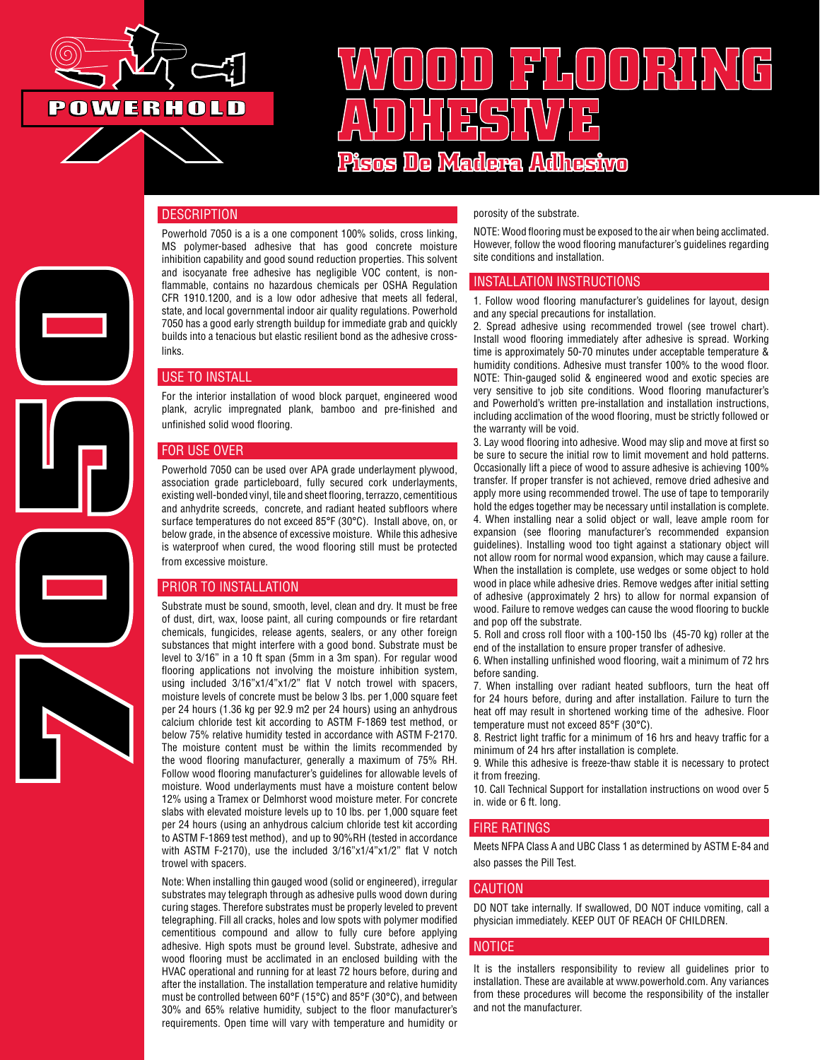

# **WOOD FLOORING ADHESIVE Pisos De Madera Adhesivo**

# **DESCRIPTION**

**7050**

Powerhold 7050 is a is a one component 100% solids, cross linking, MS polymer-based adhesive that has good concrete moisture inhibition capability and good sound reduction properties. This solvent and isocyanate free adhesive has negligible VOC content, is nonflammable, contains no hazardous chemicals per OSHA Regulation CFR 1910.1200, and is a low odor adhesive that meets all federal, state, and local governmental indoor air quality regulations. Powerhold 7050 has a good early strength buildup for immediate grab and quickly builds into a tenacious but elastic resilient bond as the adhesive crosslinks.

# USE TO INSTALL

For the interior installation of wood block parquet, engineered wood plank, acrylic impregnated plank, bamboo and pre-finished and unfinished solid wood flooring.

#### FOR USE OVER

Powerhold 7050 can be used over APA grade underlayment plywood, association grade particleboard, fully secured cork underlayments, existing well-bonded vinyl, tile and sheet flooring, terrazzo, cementitious and anhydrite screeds, concrete, and radiant heated subfloors where surface temperatures do not exceed 85°F (30°C). Install above, on, or below grade, in the absence of excessive moisture. While this adhesive is waterproof when cured, the wood flooring still must be protected from excessive moisture.

# PRIOR TO INSTALLATION

Substrate must be sound, smooth, level, clean and dry. It must be free of dust, dirt, wax, loose paint, all curing compounds or fire retardant chemicals, fungicides, release agents, sealers, or any other foreign substances that might interfere with a good bond. Substrate must be level to 3/16" in a 10 ft span (5mm in a 3m span). For regular wood flooring applications not involving the moisture inhibition system, using included 3/16"x1/4"x1/2" flat V notch trowel with spacers, moisture levels of concrete must be below 3 lbs. per 1,000 square feet per 24 hours (1.36 kg per 92.9 m2 per 24 hours) using an anhydrous calcium chloride test kit according to ASTM F-1869 test method, or below 75% relative humidity tested in accordance with ASTM F-2170. The moisture content must be within the limits recommended by the wood flooring manufacturer, generally a maximum of 75% RH. Follow wood flooring manufacturer's guidelines for allowable levels of moisture. Wood underlayments must have a moisture content below 12% using a Tramex or Delmhorst wood moisture meter. For concrete slabs with elevated moisture levels up to 10 lbs. per 1,000 square feet per 24 hours (using an anhydrous calcium chloride test kit according to ASTM F-1869 test method), and up to 90%RH (tested in accordance with ASTM F-2170), use the included 3/16"x1/4"x1/2" flat V notch trowel with spacers.

Note: When installing thin gauged wood (solid or engineered), irregular substrates may telegraph through as adhesive pulls wood down during curing stages. Therefore substrates must be properly leveled to prevent telegraphing. Fill all cracks, holes and low spots with polymer modified cementitious compound and allow to fully cure before applying adhesive. High spots must be ground level. Substrate, adhesive and wood flooring must be acclimated in an enclosed building with the HVAC operational and running for at least 72 hours before, during and after the installation. The installation temperature and relative humidity must be controlled between 60°F (15°C) and 85°F (30°C), and between 30% and 65% relative humidity, subject to the floor manufacturer's requirements. Open time will vary with temperature and humidity or porosity of the substrate.

NOTE: Wood flooring must be exposed to the air when being acclimated. However, follow the wood flooring manufacturer's guidelines regarding site conditions and installation.

#### INSTALLATION INSTRUCTIONS

1. Follow wood flooring manufacturer's guidelines for layout, design and any special precautions for installation.

2. Spread adhesive using recommended trowel (see trowel chart). Install wood flooring immediately after adhesive is spread. Working time is approximately 50-70 minutes under acceptable temperature & humidity conditions. Adhesive must transfer 100% to the wood floor. NOTE: Thin-gauged solid & engineered wood and exotic species are very sensitive to job site conditions. Wood flooring manufacturer's and Powerhold's written pre-installation and installation instructions, including acclimation of the wood flooring, must be strictly followed or the warranty will be void.

3. Lay wood flooring into adhesive. Wood may slip and move at first so be sure to secure the initial row to limit movement and hold patterns. Occasionally lift a piece of wood to assure adhesive is achieving 100% transfer. If proper transfer is not achieved, remove dried adhesive and apply more using recommended trowel. The use of tape to temporarily hold the edges together may be necessary until installation is complete. 4. When installing near a solid object or wall, leave ample room for

expansion (see flooring manufacturer's recommended expansion guidelines). Installing wood too tight against a stationary object will not allow room for normal wood expansion, which may cause a failure. When the installation is complete, use wedges or some object to hold wood in place while adhesive dries. Remove wedges after initial setting of adhesive (approximately 2 hrs) to allow for normal expansion of wood. Failure to remove wedges can cause the wood flooring to buckle and pop off the substrate.

5. Roll and cross roll floor with a 100-150 lbs (45-70 kg) roller at the end of the installation to ensure proper transfer of adhesive.

6. When installing unfinished wood flooring, wait a minimum of 72 hrs before sanding.

7. When installing over radiant heated subfloors, turn the heat off for 24 hours before, during and after installation. Failure to turn the heat off may result in shortened working time of the adhesive. Floor temperature must not exceed 85°F (30°C).

8. Restrict light traffic for a minimum of 16 hrs and heavy traffic for a minimum of 24 hrs after installation is complete.

9. While this adhesive is freeze-thaw stable it is necessary to protect it from freezing.

10. Call Technical Support for installation instructions on wood over 5 in. wide or 6 ft. long.

#### FIRE RATINGS

Meets NFPA Class A and UBC Class 1 as determined by ASTM E-84 and also passes the Pill Test.

#### CAUTION

DO NOT take internally. If swallowed, DO NOT induce vomiting, call a physician immediately. KEEP OUT OF REACH OF CHILDREN.

#### NOTICE

It is the installers responsibility to review all guidelines prior to installation. These are available at www.powerhold.com. Any variances from these procedures will become the responsibility of the installer and not the manufacturer.